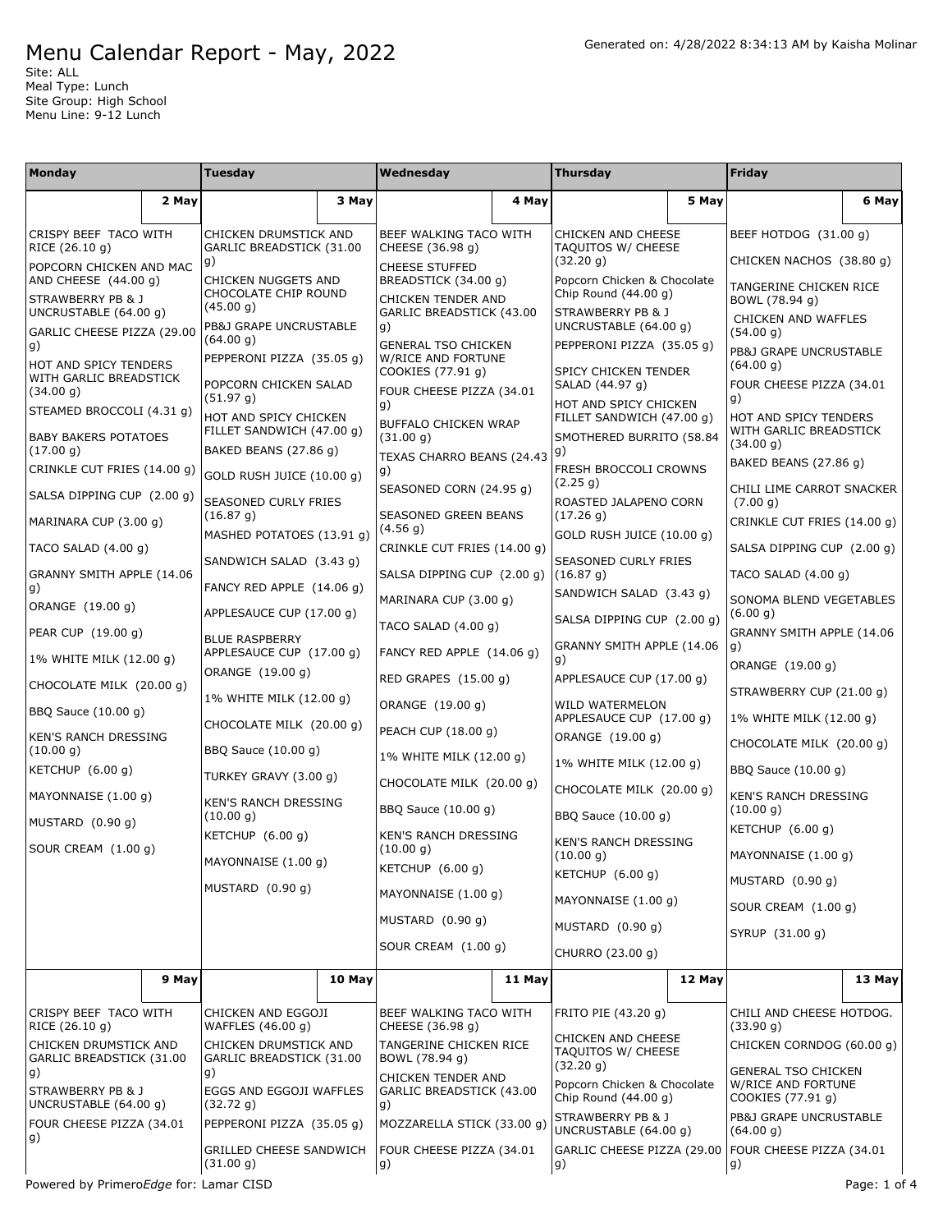Site: ALL Meal Type: Lunch Site Group: High School Menu Line: 9-12 Lunch

| Monday                                                    |       | <b>Tuesday</b>                                     |                                            | Wednesday                                        |                                                 | <b>Thursday</b>                                       |                       | Friday                                          |        |
|-----------------------------------------------------------|-------|----------------------------------------------------|--------------------------------------------|--------------------------------------------------|-------------------------------------------------|-------------------------------------------------------|-----------------------|-------------------------------------------------|--------|
|                                                           | 2 May |                                                    | 3 May                                      |                                                  | 4 May                                           |                                                       | 5 May                 |                                                 | 6 May  |
| CRISPY BEEF TACO WITH<br>RICE (26.10 g)                   |       | CHICKEN DRUMSTICK AND<br>GARLIC BREADSTICK (31.00  | BEEF WALKING TACO WITH<br>CHEESE (36.98 g) |                                                  | <b>CHICKEN AND CHEESE</b><br>TAQUITOS W/ CHEESE |                                                       | BEEF HOTDOG (31.00 g) |                                                 |        |
| POPCORN CHICKEN AND MAC                                   |       | g)                                                 |                                            | <b>CHEESE STUFFED</b>                            |                                                 | (32.20 g)                                             |                       | CHICKEN NACHOS (38.80 q)                        |        |
| AND CHEESE (44.00 g)<br>STRAWBERRY PB & J                 |       | CHICKEN NUGGETS AND<br>CHOCOLATE CHIP ROUND        |                                            | BREADSTICK (34.00 g)<br>CHICKEN TENDER AND       |                                                 | Popcorn Chicken & Chocolate<br>Chip Round $(44.00 g)$ |                       | TANGERINE CHICKEN RICE<br>BOWL (78.94 g)        |        |
| UNCRUSTABLE (64.00 g)<br>GARLIC CHEESE PIZZA (29.00       |       | (45.00 g)<br>PB&J GRAPE UNCRUSTABLE                |                                            | GARLIC BREADSTICK (43.00<br>g)                   |                                                 | STRAWBERRY PB & J<br>UNCRUSTABLE (64.00 g)            |                       | CHICKEN AND WAFFLES<br>(54.00 g)                |        |
| g)                                                        |       | (64.00 g)<br>PEPPERONI PIZZA (35.05 g)             |                                            | <b>GENERAL TSO CHICKEN</b><br>W/RICE AND FORTUNE |                                                 | PEPPERONI PIZZA (35.05 q)                             |                       | PB&J GRAPE UNCRUSTABLE                          |        |
| HOT AND SPICY TENDERS<br>WITH GARLIC BREADSTICK           |       | POPCORN CHICKEN SALAD                              |                                            | COOKIES (77.91 g)                                |                                                 | SPICY CHICKEN TENDER<br>SALAD (44.97 g)               |                       | (64.00 g)<br>FOUR CHEESE PIZZA (34.01           |        |
| (34.00 g)<br>STEAMED BROCCOLI (4.31 g)                    |       | (51.97 g)                                          |                                            | FOUR CHEESE PIZZA (34.01<br>g)                   |                                                 | HOT AND SPICY CHICKEN                                 |                       | g)                                              |        |
| <b>BABY BAKERS POTATOES</b>                               |       | HOT AND SPICY CHICKEN<br>FILLET SANDWICH (47.00 g) |                                            | BUFFALO CHICKEN WRAP<br>(31.00 g)                |                                                 | FILLET SANDWICH (47.00 g)<br>SMOTHERED BURRITO (58.84 |                       | HOT AND SPICY TENDERS<br>WITH GARLIC BREADSTICK |        |
| (17.00 g)                                                 |       | BAKED BEANS (27.86 g)                              |                                            | TEXAS CHARRO BEANS (24.43                        |                                                 | g)                                                    |                       | (34.00 g)<br>BAKED BEANS (27.86 g)              |        |
| CRINKLE CUT FRIES (14.00 g)<br>SALSA DIPPING CUP (2.00 g) |       | GOLD RUSH JUICE (10.00 g)                          |                                            | g)<br>SEASONED CORN (24.95 g)                    |                                                 | FRESH BROCCOLI CROWNS<br>(2.25 g)                     |                       | CHILI LIME CARROT SNACKER                       |        |
| MARINARA CUP (3.00 g)                                     |       | SEASONED CURLY FRIES<br>(16.87 g)                  |                                            | SEASONED GREEN BEANS                             |                                                 | ROASTED JALAPENO CORN<br>(17.26 g)                    |                       | (7.00 g)<br>CRINKLE CUT FRIES (14.00 g)         |        |
| TACO SALAD $(4.00 g)$                                     |       | MASHED POTATOES (13.91 g)                          |                                            | (4.56 g)<br>CRINKLE CUT FRIES (14.00 g)          |                                                 | GOLD RUSH JUICE (10.00 q)                             |                       | SALSA DIPPING CUP (2.00 q)                      |        |
| GRANNY SMITH APPLE (14.06                                 |       | SANDWICH SALAD (3.43 g)                            |                                            | SALSA DIPPING CUP (2.00 g)                       |                                                 | <b>SEASONED CURLY FRIES</b><br>(16.87 g)              |                       | TACO SALAD $(4.00 g)$                           |        |
| g)                                                        |       | FANCY RED APPLE (14.06 g)                          |                                            | MARINARA CUP (3.00 g)                            |                                                 | SANDWICH SALAD (3.43 g)                               |                       | SONOMA BLEND VEGETABLES                         |        |
| ORANGE (19.00 g)                                          |       | APPLESAUCE CUP (17.00 g)                           |                                            | TACO SALAD (4.00 g)                              |                                                 | SALSA DIPPING CUP (2.00 g)                            |                       | (6.00 g)<br>GRANNY SMITH APPLE (14.06           |        |
| PEAR CUP (19.00 g)<br>1% WHITE MILK (12.00 g)             |       | <b>BLUE RASPBERRY</b><br>APPLESAUCE CUP (17.00 g)  |                                            | FANCY RED APPLE (14.06 g)                        |                                                 | GRANNY SMITH APPLE (14.06<br>g)                       |                       | q)                                              |        |
| CHOCOLATE MILK (20.00 g)                                  |       | ORANGE (19.00 g)                                   |                                            | RED GRAPES (15.00 g)                             |                                                 | APPLESAUCE CUP (17.00 g)                              |                       | ORANGE (19.00 g)                                |        |
| BBQ Sauce (10.00 g)                                       |       | 1% WHITE MILK (12.00 g)                            |                                            | ORANGE (19.00 g)                                 |                                                 | WILD WATERMELON                                       |                       | STRAWBERRY CUP (21.00 g)                        |        |
| KEN'S RANCH DRESSING                                      |       | CHOCOLATE MILK (20.00 g)                           |                                            | PEACH CUP (18.00 g)                              |                                                 | APPLESAUCE CUP (17.00 g)<br>ORANGE (19.00 g)          |                       | 1% WHITE MILK (12.00 g)                         |        |
| (10.00 g)                                                 |       | BBQ Sauce (10.00 g)                                |                                            | 1% WHITE MILK (12.00 g)                          |                                                 | 1% WHITE MILK (12.00 g)                               |                       | CHOCOLATE MILK (20.00 g)<br>BBQ Sauce (10.00 g) |        |
| KETCHUP $(6.00 g)$                                        |       | TURKEY GRAVY (3.00 g)                              |                                            | CHOCOLATE MILK (20.00 g)                         |                                                 | CHOCOLATE MILK (20.00 g)                              |                       | <b>KEN'S RANCH DRESSING</b>                     |        |
| MAYONNAISE (1.00 g)                                       |       | KEN'S RANCH DRESSING<br>(10.00 g)                  |                                            | BBQ Sauce (10.00 g)                              |                                                 | BBQ Sauce (10.00 g)                                   |                       | (10.00 g)                                       |        |
| MUSTARD (0.90 q)<br>SOUR CREAM (1.00 q)                   |       | KETCHUP (6.00 g)                                   |                                            | <b>KEN'S RANCH DRESSING</b><br>(10.00 g)         |                                                 | <b>KEN'S RANCH DRESSING</b>                           |                       | KETCHUP $(6.00 g)$                              |        |
|                                                           |       | MAYONNAISE (1.00 g)                                |                                            | KETCHUP $(6.00 g)$                               |                                                 | (10.00 g)<br>KETCHUP (6.00 g)                         |                       | MAYONNAISE (1.00 g)                             |        |
|                                                           |       | MUSTARD (0.90 g)                                   |                                            | MAYONNAISE (1.00 g)                              |                                                 | MAYONNAISE (1.00 g)                                   |                       | MUSTARD (0.90 g)<br>SOUR CREAM (1.00 g)         |        |
|                                                           |       |                                                    |                                            | MUSTARD $(0.90 g)$<br>SOUR CREAM (1.00 g)        |                                                 | MUSTARD (0.90 g)<br>CHURRO (23.00 g)                  |                       | SYRUP (31.00 g)                                 |        |
|                                                           |       |                                                    |                                            |                                                  |                                                 |                                                       |                       |                                                 |        |
|                                                           | 9 May |                                                    | 10 May                                     |                                                  | 11 May                                          |                                                       | 12 May                |                                                 | 13 May |
| CRISPY BEEF TACO WITH                                     |       | CHICKEN AND EGGOJI<br>WAFFLES (46.00 g)            |                                            | BEEF WALKING TACO WITH<br>CHEESE (36.98 g)       |                                                 | FRITO PIE (43.20 g)                                   |                       | CHILI AND CHEESE HOTDOG.<br>(33.90 g)           |        |
| RICE (26.10 g)<br>CHICKEN DRUMSTICK AND                   |       | CHICKEN DRUMSTICK AND                              |                                            | TANGERINE CHICKEN RICE                           |                                                 | CHICKEN AND CHEESE<br>TAQUITOS W/ CHEESE              |                       | CHICKEN CORNDOG (60.00 g)                       |        |
| GARLIC BREADSTICK (31.00<br>g)                            |       | GARLIC BREADSTICK (31.00<br>g)                     |                                            | BOWL (78.94 g)<br>CHICKEN TENDER AND             |                                                 | (32.20 g)<br>Popcorn Chicken & Chocolate              |                       | <b>GENERAL TSO CHICKEN</b>                      |        |
| STRAWBERRY PB & J<br>UNCRUSTABLE (64.00 g)                |       | EGGS AND EGGOJI WAFFLES<br>(32.72 g)               |                                            | GARLIC BREADSTICK (43.00<br>g)                   |                                                 | Chip Round (44.00 g)                                  |                       | W/RICE AND FORTUNE<br>COOKIES (77.91 g)         |        |
| FOUR CHEESE PIZZA (34.01                                  |       | PEPPERONI PIZZA (35.05 g)                          |                                            | MOZZARELLA STICK (33.00 g)                       |                                                 | STRAWBERRY PB & J<br>UNCRUSTABLE (64.00 g)            |                       | PB&J GRAPE UNCRUSTABLE<br>(64.00 g)             |        |
| g)                                                        |       | GRILLED CHEESE SANDWICH<br>(31.00 g)               |                                            | FOUR CHEESE PIZZA (34.01<br>g)                   |                                                 | GARLIC CHEESE PIZZA (29.00<br>g)                      |                       | FOUR CHEESE PIZZA (34.01<br>g)                  |        |

Powered by Primero*Edge* for: Lamar CISD extended to the extended of 4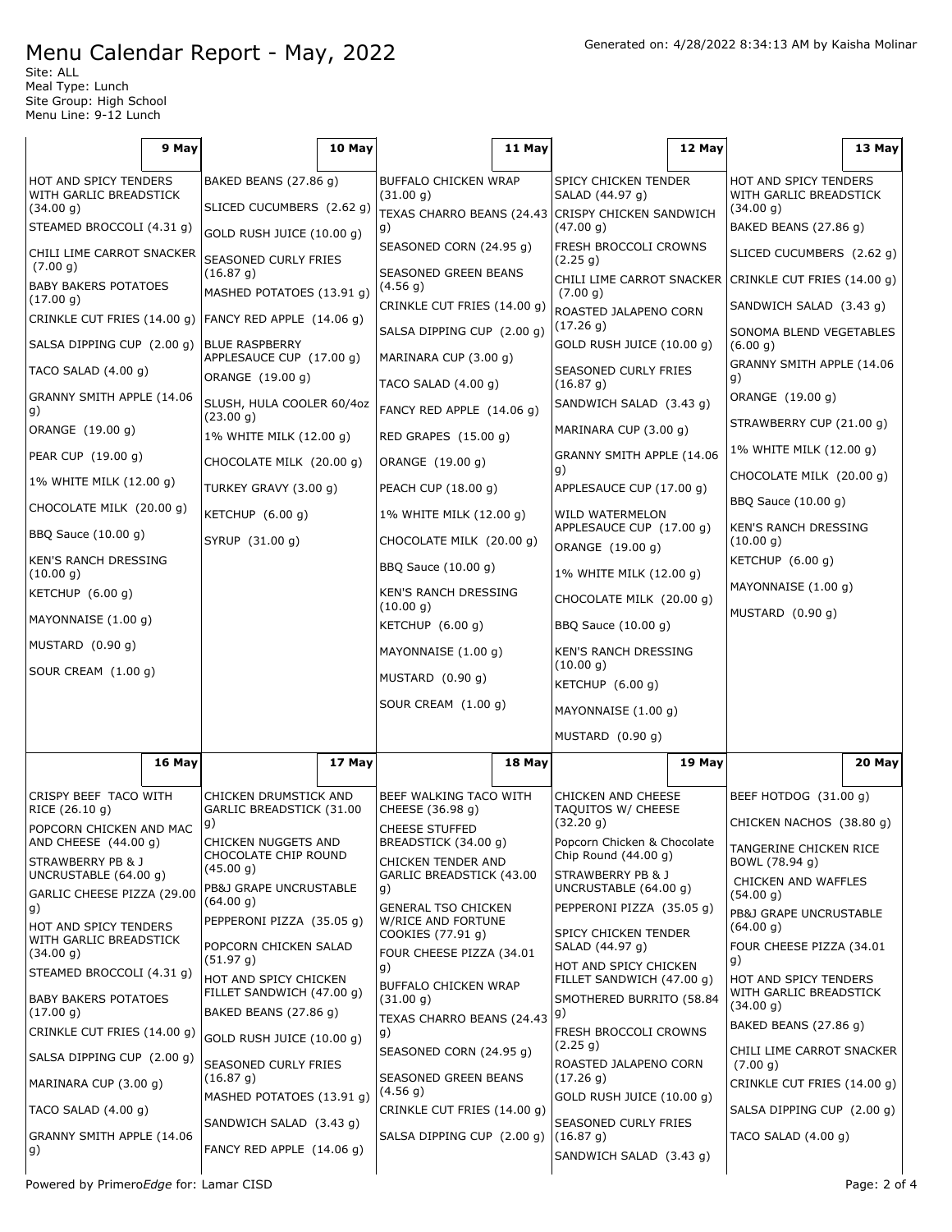Site: ALL Meal Type: Lunch Site Group: High School Menu Line: 9-12 Lunch

|                                                           | 9 May  |                                                          | 10 May |                                                  | 11 May |                                                                                                                           | 12 May |                                                          | 13 May |
|-----------------------------------------------------------|--------|----------------------------------------------------------|--------|--------------------------------------------------|--------|---------------------------------------------------------------------------------------------------------------------------|--------|----------------------------------------------------------|--------|
| HOT AND SPICY TENDERS<br>WITH GARLIC BREADSTICK           |        | BAKED BEANS (27.86 g)                                    |        | <b>BUFFALO CHICKEN WRAP</b><br>(31.00 g)         |        | SPICY CHICKEN TENDER<br>SALAD (44.97 g)                                                                                   |        | HOT AND SPICY TENDERS<br>WITH GARLIC BREADSTICK          |        |
| (34.00 g)<br>STEAMED BROCCOLI (4.31 g)                    |        | SLICED CUCUMBERS (2.62 g)                                |        | TEXAS CHARRO BEANS (24.43                        |        | CRISPY CHICKEN SANDWICH                                                                                                   |        | (34.00 g)                                                |        |
|                                                           |        | GOLD RUSH JUICE (10.00 g)                                |        | g)<br>SEASONED CORN (24.95 g)                    |        | (47.00 g)<br>FRESH BROCCOLI CROWNS                                                                                        |        | BAKED BEANS (27.86 g)                                    |        |
| CHILI LIME CARROT SNACKER<br>(7.00 g)                     |        | SEASONED CURLY FRIES<br>(16.87 g)                        |        | SEASONED GREEN BEANS                             |        | (2.25 g)<br>CHILI LIME CARROT SNACKER                                                                                     |        | SLICED CUCUMBERS (2.62 g)<br>CRINKLE CUT FRIES (14.00 g) |        |
| <b>BABY BAKERS POTATOES</b><br>(17.00 g)                  |        | MASHED POTATOES (13.91 g)                                |        | (4.56 g)<br>CRINKLE CUT FRIES (14.00 g)          |        | (7.00 g)                                                                                                                  |        | SANDWICH SALAD (3.43 g)                                  |        |
| FANCY RED APPLE (14.06 g)<br>CRINKLE CUT FRIES (14.00 g)  |        | SALSA DIPPING CUP (2.00 g)                               |        | ROASTED JALAPENO CORN<br>(17.26 g)               |        | SONOMA BLEND VEGETABLES                                                                                                   |        |                                                          |        |
| SALSA DIPPING CUP (2.00 g)                                |        | <b>BLUE RASPBERRY</b><br>APPLESAUCE CUP (17.00 g)        |        | MARINARA CUP (3.00 g)                            |        | GOLD RUSH JUICE (10.00 g)                                                                                                 |        | (6.00 g)                                                 |        |
| TACO SALAD (4.00 g)                                       |        | ORANGE (19.00 g)                                         |        | TACO SALAD (4.00 g)                              |        | SEASONED CURLY FRIES<br>(16.87 g)                                                                                         |        | GRANNY SMITH APPLE (14.06<br>g)                          |        |
| GRANNY SMITH APPLE (14.06                                 |        | SLUSH, HULA COOLER 60/4oz                                |        | FANCY RED APPLE (14.06 g)                        |        | SANDWICH SALAD (3.43 g)                                                                                                   |        | ORANGE (19.00 g)                                         |        |
| g)<br>ORANGE (19.00 g)                                    |        | (23.00 g)<br>1% WHITE MILK (12.00 g)                     |        | RED GRAPES (15.00 g)                             |        | MARINARA CUP (3.00 g)                                                                                                     |        | STRAWBERRY CUP (21.00 g)                                 |        |
| PEAR CUP (19.00 g)                                        |        | CHOCOLATE MILK (20.00 g)                                 |        | ORANGE (19.00 g)                                 |        | GRANNY SMITH APPLE (14.06                                                                                                 |        | 1% WHITE MILK (12.00 g)                                  |        |
| 1% WHITE MILK (12.00 g)                                   |        | TURKEY GRAVY (3.00 g)                                    |        | PEACH CUP (18.00 g)                              |        | g)<br>APPLESAUCE CUP (17.00 g)                                                                                            |        | CHOCOLATE MILK (20.00 g)                                 |        |
| CHOCOLATE MILK (20.00 g)                                  |        | KETCHUP (6.00 g)                                         |        | 1% WHITE MILK (12.00 g)                          |        | WILD WATERMELON                                                                                                           |        | BBQ Sauce (10.00 g)                                      |        |
| BBQ Sauce (10.00 g)                                       |        | SYRUP (31.00 g)                                          |        | CHOCOLATE MILK (20.00 g)                         |        | APPLESAUCE CUP (17.00 g)                                                                                                  |        | KEN'S RANCH DRESSING<br>(10.00 g)<br>KETCHUP $(6.00 g)$  |        |
| KEN'S RANCH DRESSING                                      |        |                                                          |        | BBQ Sauce (10.00 g)                              |        | ORANGE (19.00 g)                                                                                                          |        |                                                          |        |
| (10.00 g)<br>KETCHUP $(6.00 g)$                           |        |                                                          |        | KEN'S RANCH DRESSING                             |        | 1% WHITE MILK (12.00 g)<br>CHOCOLATE MILK (20.00 g)                                                                       |        | MAYONNAISE (1.00 g)                                      |        |
| MAYONNAISE (1.00 g)                                       |        |                                                          |        | (10.00 g)<br>KETCHUP $(6.00 g)$                  |        | BBQ Sauce (10.00 g)                                                                                                       |        | MUSTARD (0.90 g)                                         |        |
| MUSTARD $(0.90 g)$                                        |        |                                                          |        | MAYONNAISE (1.00 g)                              |        | <b>KEN'S RANCH DRESSING</b>                                                                                               |        |                                                          |        |
| SOUR CREAM (1.00 g)                                       |        |                                                          |        | MUSTARD (0.90 g)                                 |        | (10.00 g)                                                                                                                 |        |                                                          |        |
|                                                           |        |                                                          |        | SOUR CREAM (1.00 g)                              |        | KETCHUP (6.00 g)                                                                                                          |        |                                                          |        |
|                                                           |        |                                                          |        |                                                  |        | MAYONNAISE (1.00 g)                                                                                                       |        |                                                          |        |
|                                                           |        |                                                          |        |                                                  |        | MUSTARD (0.90 g)                                                                                                          |        |                                                          |        |
|                                                           | 16 May |                                                          | 17 May |                                                  | 18 May |                                                                                                                           | 19 May |                                                          | 20 May |
| CRISPY BEEF TACO WITH<br>RICE (26.10 g)                   |        | CHICKEN DRUMSTICK AND<br>GARLIC BREADSTICK (31.00        |        | BEEF WALKING TACO WITH<br>CHEESE (36.98 g)       |        | <b>CHICKEN AND CHEESE</b><br>TAQUITOS W/ CHEESE                                                                           |        | BEEF HOTDOG (31.00 q)                                    |        |
| POPCORN CHICKEN AND MAC<br>AND CHEESE (44.00 g)           |        | g)                                                       |        | <b>CHEESE STUFFED</b><br>BREADSTICK (34.00 g)    |        | (32.20 g)                                                                                                                 |        | CHICKEN NACHOS (38.80 q)                                 |        |
| STRAWBERRY PB & J                                         |        | CHICKEN NUGGETS AND<br>CHOCOLATE CHIP ROUND<br>(45.00 g) |        | CHICKEN TENDER AND                               |        | Popcorn Chicken & Chocolate<br>Chip Round $(44.00 q)$                                                                     |        | TANGERINE CHICKEN RICE<br>BOWL (78.94 g)                 |        |
| UNCRUSTABLE (64.00 g)<br>GARLIC CHEESE PIZZA (29.00       |        | PB&J GRAPE UNCRUSTABLE                                   |        | GARLIC BREADSTICK (43.00<br> g)                  |        | STRAWBERRY PB & J<br>UNCRUSTABLE (64.00 g)                                                                                |        | CHICKEN AND WAFFLES<br>(54.00 g)                         |        |
| g)                                                        |        | (64.00 g)<br>PEPPERONI PIZZA (35.05 g)                   |        | <b>GENERAL TSO CHICKEN</b><br>W/RICE AND FORTUNE |        | PEPPERONI PIZZA (35.05 g)                                                                                                 |        | PB&J GRAPE UNCRUSTABLE                                   |        |
| HOT AND SPICY TENDERS<br>WITH GARLIC BREADSTICK           |        | POPCORN CHICKEN SALAD                                    |        | COOKIES (77.91 g)                                |        | SPICY CHICKEN TENDER<br>SALAD (44.97 g)<br>HOT AND SPICY CHICKEN<br>FILLET SANDWICH (47.00 g)<br>SMOTHERED BURRITO (58.84 |        | (64.00 g)<br>FOUR CHEESE PIZZA (34.01                    |        |
| (34.00 g)<br>STEAMED BROCCOLI (4.31 g)                    |        | (51.97 g)<br>HOT AND SPICY CHICKEN                       |        | FOUR CHEESE PIZZA (34.01<br> g)                  |        |                                                                                                                           |        | g)                                                       |        |
| <b>BABY BAKERS POTATOES</b>                               |        | FILLET SANDWICH (47.00 g)                                |        | BUFFALO CHICKEN WRAP<br>(31.00 g)                |        |                                                                                                                           |        | HOT AND SPICY TENDERS<br>WITH GARLIC BREADSTICK          |        |
| (17.00 g)                                                 |        | BAKED BEANS (27.86 g)                                    |        | TEXAS CHARRO BEANS (24.43                        |        | g)<br>FRESH BROCCOLI CROWNS                                                                                               |        | (34.00 g)<br>BAKED BEANS (27.86 g)                       |        |
| CRINKLE CUT FRIES (14.00 g)<br>SALSA DIPPING CUP (2.00 g) |        | GOLD RUSH JUICE (10.00 g)                                |        | g)<br>SEASONED CORN (24.95 g)                    |        | (2.25 g)                                                                                                                  |        | CHILI LIME CARROT SNACKER                                |        |
| MARINARA CUP (3.00 g)                                     |        | SEASONED CURLY FRIES<br>(16.87 g)                        |        | SEASONED GREEN BEANS                             |        | ROASTED JALAPENO CORN<br>(17.26 g)                                                                                        |        | (7.00 g)<br>CRINKLE CUT FRIES (14.00 g)                  |        |
| TACO SALAD $(4.00 g)$                                     |        | MASHED POTATOES (13.91 g)                                |        | (4.56 g)<br>CRINKLE CUT FRIES (14.00 g)          |        | GOLD RUSH JUICE (10.00 g)                                                                                                 |        | SALSA DIPPING CUP (2.00 g)                               |        |
| GRANNY SMITH APPLE (14.06                                 |        | SANDWICH SALAD (3.43 g)                                  |        | SALSA DIPPING CUP (2.00 g)                       |        | SEASONED CURLY FRIES<br>(16.87 g)                                                                                         |        | TACO SALAD (4.00 g)                                      |        |
| g)                                                        |        | FANCY RED APPLE (14.06 g)                                |        |                                                  |        | SANDWICH SALAD (3.43 g)                                                                                                   |        |                                                          |        |
|                                                           |        |                                                          |        |                                                  |        |                                                                                                                           |        |                                                          |        |

Powered by Primero*Edge* for: Lamar CISD examples a proportion of the example of the Page: 2 of 4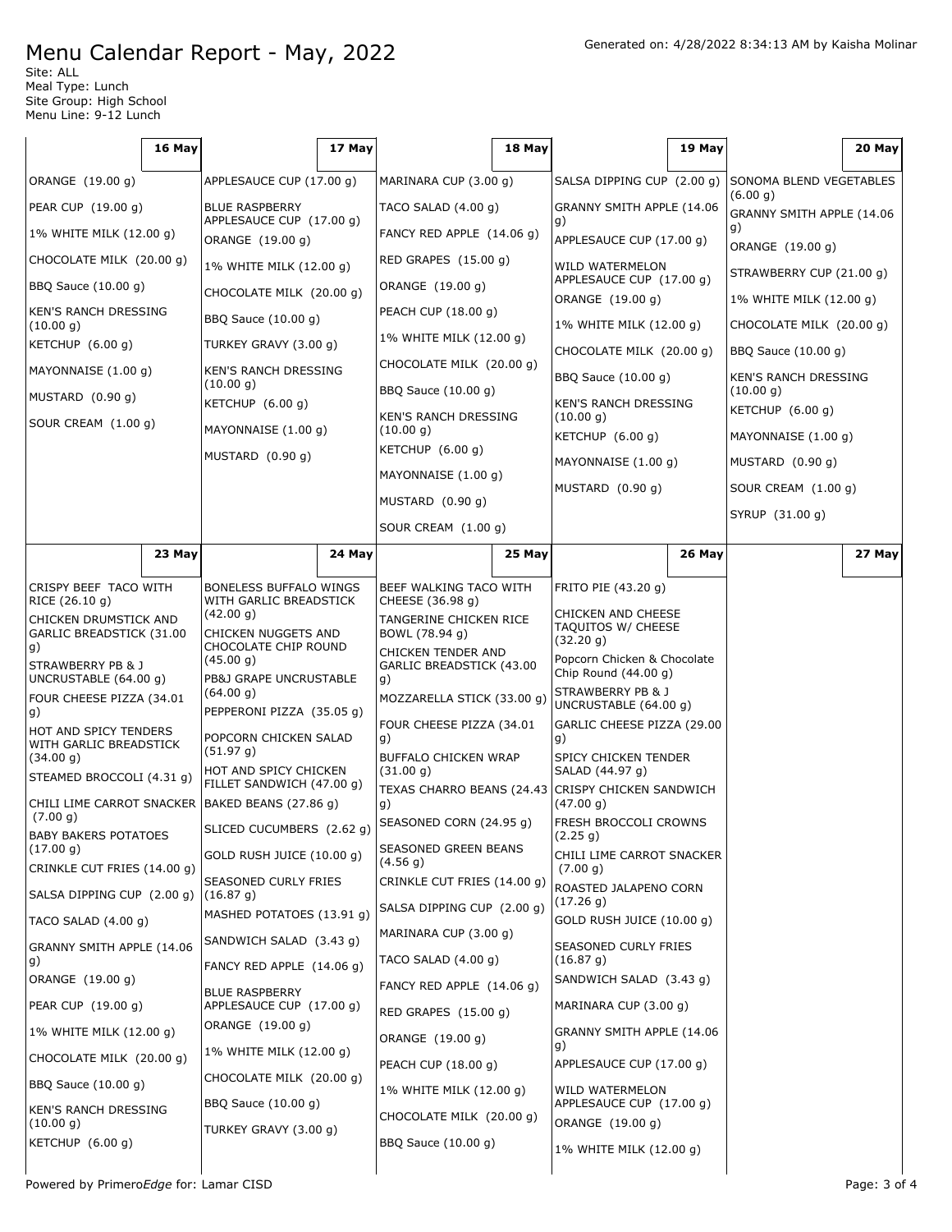Site: ALL Meal Type: Lunch Site Group: High School Menu Line: 9-12 Lunch

|                                                   | 16 May |                                                                       | 17 May |                                                 | 18 May |                                              | 19 May |                                          | 20 May |
|---------------------------------------------------|--------|-----------------------------------------------------------------------|--------|-------------------------------------------------|--------|----------------------------------------------|--------|------------------------------------------|--------|
| ORANGE (19.00 g)                                  |        | APPLESAUCE CUP (17.00 g)                                              |        | MARINARA CUP (3.00 g)                           |        | SALSA DIPPING CUP (2.00 g)                   |        | SONOMA BLEND VEGETABLES                  |        |
| PEAR CUP (19.00 g)                                |        | <b>BLUE RASPBERRY</b>                                                 |        | TACO SALAD (4.00 g)                             |        | GRANNY SMITH APPLE (14.06                    |        | (6.00 g)<br>GRANNY SMITH APPLE (14.06    |        |
| 1% WHITE MILK (12.00 g)                           |        | APPLESAUCE CUP (17.00 g)<br>ORANGE (19.00 g)                          |        | FANCY RED APPLE (14.06 g)                       |        | g)<br>APPLESAUCE CUP (17.00 g)               |        | g)                                       |        |
| CHOCOLATE MILK (20.00 g)                          |        | 1% WHITE MILK (12.00 g)                                               |        | RED GRAPES (15.00 g)                            |        | WILD WATERMELON                              |        | ORANGE (19.00 q)                         |        |
| BBQ Sauce (10.00 g)                               |        | CHOCOLATE MILK (20.00 g)                                              |        | ORANGE (19.00 g)                                |        | APPLESAUCE CUP (17.00 g)                     |        | STRAWBERRY CUP (21.00 g)                 |        |
| <b>KEN'S RANCH DRESSING</b>                       |        | BBQ Sauce (10.00 g)                                                   |        | PEACH CUP (18.00 g)                             |        | ORANGE (19.00 g)                             |        | 1% WHITE MILK (12.00 g)                  |        |
| (10.00 g)<br>KETCHUP $(6.00 g)$                   |        | TURKEY GRAVY (3.00 g)                                                 |        | 1% WHITE MILK (12.00 g)                         |        | 1% WHITE MILK (12.00 g)                      |        | CHOCOLATE MILK (20.00 g)                 |        |
| MAYONNAISE (1.00 g)                               |        | KEN'S RANCH DRESSING                                                  |        | CHOCOLATE MILK (20.00 g)<br>BBQ Sauce (10.00 g) |        | CHOCOLATE MILK (20.00 g)                     |        | BBQ Sauce (10.00 g)                      |        |
| MUSTARD (0.90 g)                                  |        | (10.00 g)                                                             |        |                                                 |        | BBQ Sauce (10.00 g)                          |        | <b>KEN'S RANCH DRESSING</b><br>(10.00 g) |        |
| SOUR CREAM (1.00 g)                               |        | KETCHUP $(6.00 g)$<br>MAYONNAISE (1.00 g)                             |        | KEN'S RANCH DRESSING                            |        | KEN'S RANCH DRESSING<br>(10.00 g)            |        | KETCHUP (6.00 g)                         |        |
|                                                   |        |                                                                       |        | (10.00 g)<br>KETCHUP $(6.00 g)$                 |        | KETCHUP $(6.00 q)$                           |        | MAYONNAISE (1.00 g)                      |        |
|                                                   |        | MUSTARD (0.90 g)                                                      |        | MAYONNAISE (1.00 g)                             |        | MAYONNAISE (1.00 g)                          |        | MUSTARD $(0.90 g)$                       |        |
|                                                   |        |                                                                       |        | MUSTARD (0.90 g)                                |        | MUSTARD (0.90 g)                             |        | SOUR CREAM (1.00 g)                      |        |
|                                                   |        |                                                                       |        | SOUR CREAM (1.00 g)                             |        |                                              |        | SYRUP (31.00 g)                          |        |
|                                                   | 23 May |                                                                       | 24 May |                                                 | 25 May |                                              | 26 May |                                          | 27 May |
|                                                   |        |                                                                       |        |                                                 |        |                                              |        |                                          |        |
| CRISPY BEEF TACO WITH<br>RICE (26.10 g)           |        | BONELESS BUFFALO WINGS<br>WITH GARLIC BREADSTICK                      |        | BEEF WALKING TACO WITH<br>CHEESE (36.98 g)      |        | FRITO PIE (43.20 g)                          |        |                                          |        |
| CHICKEN DRUMSTICK AND<br>GARLIC BREADSTICK (31.00 |        | (42.00 g)<br>CHICKEN NUGGETS AND<br>CHOCOLATE CHIP ROUND<br>(45.00 g) |        | TANGERINE CHICKEN RICE<br>BOWL (78.94 g)        |        | CHICKEN AND CHEESE<br>TAQUITOS W/ CHEESE     |        |                                          |        |
| g)                                                |        |                                                                       |        | CHICKEN TENDER AND                              |        | (32.20 g)<br>Popcorn Chicken & Chocolate     |        |                                          |        |
| STRAWBERRY PB & J<br>UNCRUSTABLE (64.00 g)        |        | PB&J GRAPE UNCRUSTABLE                                                |        | GARLIC BREADSTICK (43.00<br>g)                  |        | Chip Round $(44.00 g)$                       |        |                                          |        |
| FOUR CHEESE PIZZA (34.01                          |        | (64.00 g)<br>PEPPERONI PIZZA (35.05 g)                                |        | MOZZARELLA STICK (33.00 g)                      |        | STRAWBERRY PB & J<br>UNCRUSTABLE (64.00 g)   |        |                                          |        |
| g)<br>HOT AND SPICY TENDERS                       |        | POPCORN CHICKEN SALAD                                                 |        | FOUR CHEESE PIZZA (34.01                        |        | GARLIC CHEESE PIZZA (29.00<br>g)             |        |                                          |        |
| WITH GARLIC BREADSTICK<br>(34.00 g)               |        | (51.97 g)<br>HOT AND SPICY CHICKEN<br>FILLET SANDWICH (47.00 g)       |        | g)<br>BUFFALO CHICKEN WRAP                      |        | SPICY CHICKEN TENDER                         |        |                                          |        |
| STEAMED BROCCOLI (4.31 g)                         |        |                                                                       |        | (31.00 g)<br>TEXAS CHARRO BEANS (24.43)         |        | SALAD (44.97 g)<br>CRISPY CHICKEN SANDWICH   |        |                                          |        |
| CHILI LIME CARROT SNACKER   BAKED BEANS (27.86 g) |        |                                                                       |        | g)                                              |        | (47.00 g)                                    |        |                                          |        |
| (7.00 g)<br><b>BABY BAKERS POTATOES</b>           |        | SLICED CUCUMBERS (2.62 g) SEASONED CORN (24.95 g)                     |        |                                                 |        | FRESH BROCCOLI CROWNS<br>(2.25 g)            |        |                                          |        |
| (17.00 g)<br>CRINKLE CUT FRIES (14.00 g)          |        | GOLD RUSH JUICE (10.00 g)                                             |        | SEASONED GREEN BEANS<br>(4.56 g)                |        | CHILI LIME CARROT SNACKER<br>(7.00 g)        |        |                                          |        |
| SALSA DIPPING CUP (2.00 q)                        |        | SEASONED CURLY FRIES<br>(16.87 g)                                     |        | CRINKLE CUT FRIES (14.00 g)                     |        | ROASTED JALAPENO CORN                        |        |                                          |        |
| TACO SALAD $(4.00 g)$                             |        | MASHED POTATOES (13.91 g)                                             |        | SALSA DIPPING CUP (2.00 g)                      |        | (17.26 g)<br>GOLD RUSH JUICE (10.00 g)       |        |                                          |        |
| GRANNY SMITH APPLE (14.06                         |        | SANDWICH SALAD (3.43 g)                                               |        | MARINARA CUP (3.00 g)                           |        | SEASONED CURLY FRIES                         |        |                                          |        |
| g)                                                |        | FANCY RED APPLE (14.06 g)                                             |        | TACO SALAD $(4.00 g)$                           |        | (16.87 g)                                    |        |                                          |        |
| ORANGE (19.00 g)                                  |        | <b>BLUE RASPBERRY</b><br>APPLESAUCE CUP (17.00 g)                     |        | FANCY RED APPLE (14.06 g)                       |        | SANDWICH SALAD (3.43 g)                      |        |                                          |        |
| PEAR CUP (19.00 g)                                |        |                                                                       |        | RED GRAPES (15.00 g)                            |        | MARINARA CUP (3.00 g)                        |        |                                          |        |
| 1% WHITE MILK (12.00 g)                           |        | ORANGE (19.00 g)                                                      |        | ORANGE (19.00 g)                                |        | GRANNY SMITH APPLE (14.06<br>g)              |        |                                          |        |
| CHOCOLATE MILK (20.00 g)                          |        | 1% WHITE MILK (12.00 g)                                               |        | PEACH CUP (18.00 g)                             |        | APPLESAUCE CUP (17.00 g)                     |        |                                          |        |
| BBQ Sauce (10.00 g)                               |        | CHOCOLATE MILK (20.00 g)                                              |        | 1% WHITE MILK (12.00 g)                         |        | WILD WATERMELON                              |        |                                          |        |
| KEN'S RANCH DRESSING<br>(10.00 g)                 |        | BBQ Sauce (10.00 g)                                                   |        | CHOCOLATE MILK (20.00 g)                        |        | APPLESAUCE CUP (17.00 g)<br>ORANGE (19.00 g) |        |                                          |        |
| KETCHUP (6.00 g)                                  |        | TURKEY GRAVY (3.00 g)                                                 |        | BBQ Sauce (10.00 g)                             |        | 1% WHITE MILK (12.00 g)                      |        |                                          |        |
|                                                   |        |                                                                       |        |                                                 |        |                                              |        |                                          |        |